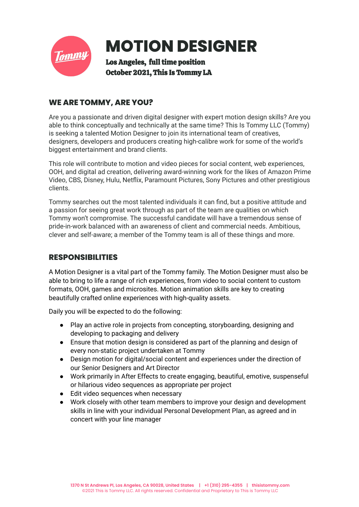

# **MOTION DESIGNER**

Los Angeles, full time position October 2021, This Is Tommy LA

# **WE ARE TOMMY, ARE YOU?**

Are you a passionate and driven digital designer with expert motion design skills? Are you able to think conceptually and technically at the same time? This Is Tommy LLC (Tommy) is seeking a talented Motion Designer to join its international team of creatives, designers, developers and producers creating high-calibre work for some of the world's biggest entertainment and brand clients.

This role will contribute to motion and video pieces for social content, web experiences, OOH, and digital ad creation, delivering award-winning work for the likes of Amazon Prime Video, CBS, Disney, Hulu, Netflix, Paramount Pictures, Sony Pictures and other prestigious clients.

Tommy searches out the most talented individuals it can find, but a positive attitude and a passion for seeing great work through as part of the team are qualities on which Tommy won't compromise. The successful candidate will have a tremendous sense of pride-in-work balanced with an awareness of client and commercial needs. Ambitious, clever and self-aware; a member of the Tommy team is all of these things and more.

# **RESPONSIBILITIES**

A Motion Designer is a vital part of the Tommy family. The Motion Designer must also be able to bring to life a range of rich experiences, from video to social content to custom formats, OOH, games and microsites. Motion animation skills are key to creating beautifully crafted online experiences with high-quality assets.

Daily you will be expected to do the following:

- Play an active role in projects from concepting, storyboarding, designing and developing to packaging and delivery
- Ensure that motion design is considered as part of the planning and design of every non-static project undertaken at Tommy
- Design motion for digital/social content and experiences under the direction of our Senior Designers and Art Director
- Work primarily in After Effects to create engaging, beautiful, emotive, suspenseful or hilarious video sequences as appropriate per project
- Edit video sequences when necessary
- Work closely with other team members to improve your design and development skills in line with your individual Personal Development Plan, as agreed and in concert with your line manager